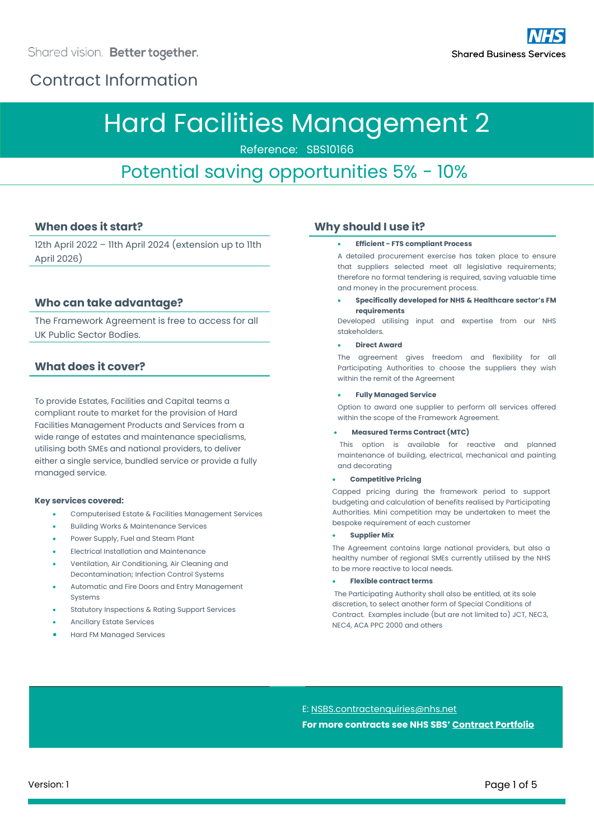# Hard Facilities Management 2

Reference: SBS10166

## Potential saving opportunities 5% - 10%

### **When does it start?**

12th April 2022 – 11th April 2024 (extension up to 11th April 2026)

### **Who can take advantage?**

The Framework Agreement is free to access for all UK Public Sector Bodies.

### **What does it cover?**

To provide Estates, Facilities and Capital teams a compliant route to market for the provision of Hard Facilities Management Products and Services from a wide range of estates and maintenance specialisms, utilising both SMEs and national providers, to deliver either a single service, bundled service or provide a fully managed service.

#### **Key services covered:**

- Computerised Estate & Facilities Management Services
- Building Works & Maintenance Services
- Power Supply, Fuel and Steam Plant
- Electrical Installation and Maintenance
- Ventilation, Air Conditioning, Air Cleaning and Decontamination; Infection Control Systems
- Automatic and Fire Doors and Entry Management Systems
- Statutory Inspections & Rating Support Services
- Ancillary Estate Services
- Hard FM Managed Services

### **Why should I use it?**

#### • **Efficient - FTS compliant Process**

A detailed procurement exercise has taken place to ensure that suppliers selected meet all legislative requirements; therefore no formal tendering is required, saving valuable time and money in the procurement process.

• **Specifically developed for NHS & Healthcare sector's FM requirements**

Developed utilising input and expertise from our NHS stakeholders.

#### • **Direct Award**

The agreement gives freedom and flexibility for all Participating Authorities to choose the suppliers they wish within the remit of the Agreement

#### • **Fully Managed Service**

Option to award one supplier to perform all services offered within the scope of the Framework Agreement.

#### • **Measured Terms Contract (MTC)**

This option is available for reactive and planned maintenance of building, electrical, mechanical and painting and decorating

#### • **Competitive Pricing**

Capped pricing during the framework period to support budgeting and calculation of benefits realised by Participating Authorities. Mini competition may be undertaken to meet the bespoke requirement of each customer

#### • **Supplier Mix**

The Agreement contains large national providers, but also a healthy number of regional SMEs currently utilised by the NHS to be more reactive to local needs.

#### • **Flexible contract terms**

The Participating Authority shall also be entitled, at its sole discretion, to select another form of Special Conditions of Contract. Examples include (but are not limited to) JCT, NEC3, NEC4, ACA PPC 2000 and others

### E: [NSBS.contractenquiries@nhs.net](mailto:NSBS.contractenquiries@nhs.net) **For more contracts see NHS SBS' [Contract Portfolio](https://www.sbs.nhs.uk/proc-framework-agreements-support)**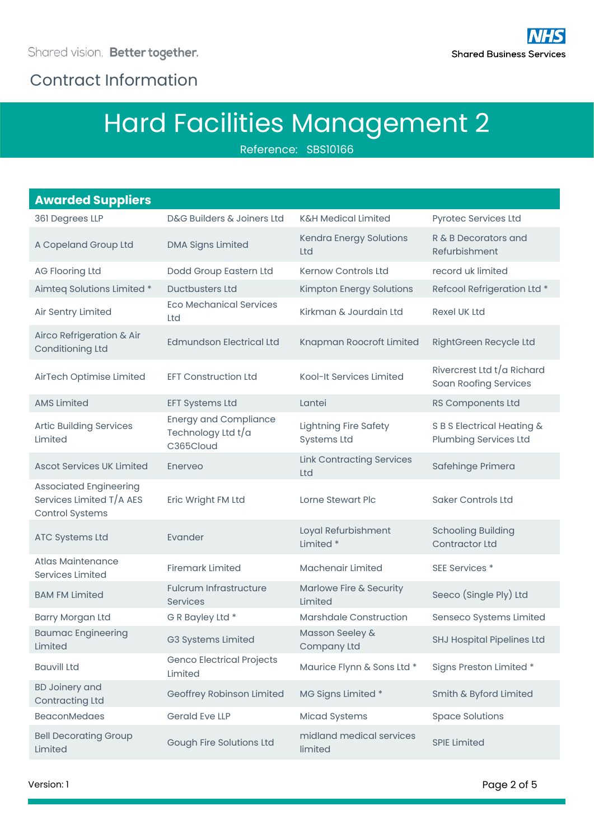## Contract Information

# Hard Facilities Management 2

Reference: SBS10166

#### **Awarded Suppliers** 361 Degrees LLP D&G Builders & Joiners Ltd K&H Medical Limited Pyrotec Services Ltd A Copeland Group Ltd DMA Signs Limited Kendra Energy Solutions Ltd R & B Decorators and Refurbishment AG Flooring Ltd Dodd Group Eastern Ltd Kernow Controls Ltd record uk limited Aimteg Solutions Limited \* Ductbusters Ltd Kimpton Energy Solutions Refcool Refrigeration Ltd \* Air Sentry Limited Eco Mechanical Services Ltd Kirkman & Jourdain Ltd Rexel UK Ltd Airco Refrigeration & Air Conditioning Ltd Edmundson Electrical Ltd Knapman Roocroft Limited RightGreen Recycle Ltd AirTech Optimise Limited EFT Construction Ltd Kool-It Services Limited Rivercrest Ltd t/a Richard Soan Roofing Services AMS Limited EFT Systems Ltd Lantei RS Components Ltd Artic Building Services Limited Energy and Compliance Technology Ltd t/a C365Cloud Lightning Fire Safety Systems Ltd S B S Electrical Heating & Plumbing Services Ltd Ascot Services UK Limited Enerveo Link Contracting Services Ltd Safehinge Primera Associated Engineering Services Limited T/A AES Control Systems Eric Wright FM Ltd Lorne Stewart Plc Saker Controls Ltd ATC Systems Ltd Evander Loyal Refurbishment Limited \* Schooling Building Contractor Ltd Atlas Maintenance Services Limited Firemark Limited Machenair Limited SEE Services \* BAM FM Limited Fulcrum Infrastructure Services Marlowe Fire & Security Manowe The & Secarity<br>
Seeco (Single Ply) Ltd Barry Morgan Ltd G R Bayley Ltd \* Marshdale Construction Senseco Systems Limited Baumac Engineering Limited G3 Systems Limited Masson Seeley & Company Ltd SHJ Hospital Pipelines Ltd Bauvill Ltd Genco Electrical Projects Maurice Flynn & Sons Ltd \* Signs Preston Limited \* BD Joinery and Contracting Ltd Geoffrey Robinson Limited MG Signs Limited \* Smith & Byford Limited BeaconMedaes Gerald Eve LLP Micad Systems Space Solutions Bell Decorating Group Rell Decorating Group<br>
Gough Fire Solutions Ltd
limited
limited
limited
limited
nedical services
nedical
services
limited
limited
limited
limited
limited
limited
limited
limited
limited
limited
limited
limited
limited
limi **SPIE Limited**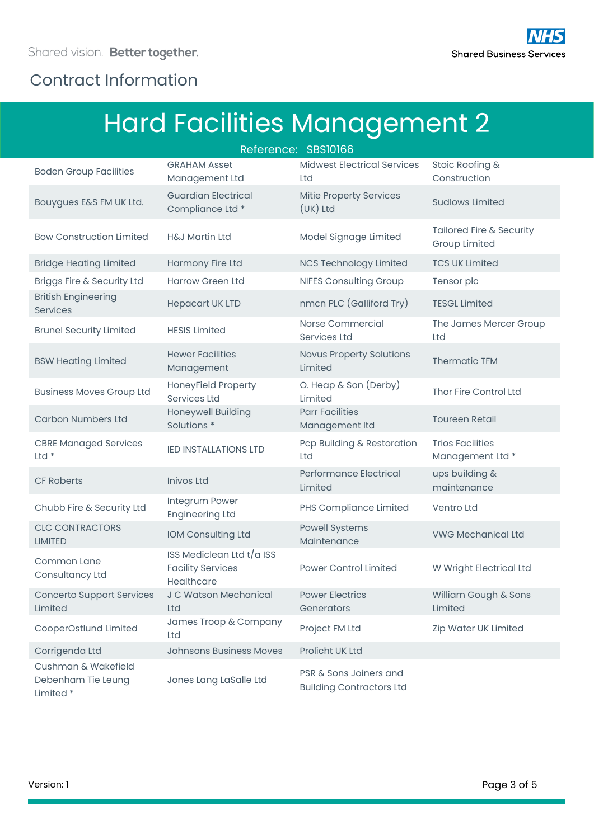## Contract Information

# Hard Facilities Management 2

| Reference: SBS10166                                   |                                                                     |                                                           |                                             |  |
|-------------------------------------------------------|---------------------------------------------------------------------|-----------------------------------------------------------|---------------------------------------------|--|
| <b>Boden Group Facilities</b>                         | <b>GRAHAM Asset</b><br>Management Ltd                               | <b>Midwest Electrical Services</b><br>Ltd                 | Stoic Roofing &<br>Construction             |  |
| Bouygues E&S FM UK Ltd.                               | <b>Guardian Electrical</b><br>Compliance Ltd *                      | Mitie Property Services<br>$(UK)$ Ltd                     | <b>Sudlows Limited</b>                      |  |
| <b>Bow Construction Limited</b>                       | <b>H&amp;J Martin Ltd</b>                                           | Model Signage Limited                                     | Tailored Fire & Security<br>Group Limited   |  |
| <b>Bridge Heating Limited</b>                         | Harmony Fire Ltd                                                    | <b>NCS Technology Limited</b>                             | <b>TCS UK Limited</b>                       |  |
| Briggs Fire & Security Ltd                            | <b>Harrow Green Ltd</b>                                             | <b>NIFES Consulting Group</b>                             | Tensor plc                                  |  |
| <b>British Engineering</b><br>Services                | <b>Hepacart UK LTD</b>                                              | nmcn PLC (Galliford Try)                                  | <b>TESGL Limited</b>                        |  |
| <b>Brunel Security Limited</b>                        | <b>HESIS Limited</b>                                                | Norse Commercial<br><b>Services Ltd</b>                   | The James Mercer Group<br>Ltd               |  |
| <b>BSW Heating Limited</b>                            | <b>Hewer Facilities</b><br>Management                               | <b>Novus Property Solutions</b><br>Limited                | <b>Thermatic TFM</b>                        |  |
| <b>Business Moves Group Ltd</b>                       | HoneyField Property<br>Services Ltd                                 | O. Heap & Son (Derby)<br>Limited                          | Thor Fire Control Ltd                       |  |
| <b>Carbon Numbers Ltd</b>                             | Honeywell Building<br>Solutions <sup>*</sup>                        | <b>Parr Facilities</b><br>Management Itd                  | <b>Toureen Retail</b>                       |  |
| <b>CBRE Managed Services</b><br>Ltd $*$               | <b>IED INSTALLATIONS LTD</b>                                        | Pcp Building & Restoration<br>Ltd                         | <b>Trios Facilities</b><br>Management Ltd * |  |
| <b>CF Roberts</b>                                     | <b>Inivos Ltd</b>                                                   | Performance Electrical<br>Limited                         | ups building &<br>maintenance               |  |
| Chubb Fire & Security Ltd                             | Integrum Power<br><b>Engineering Ltd</b>                            | PHS Compliance Limited                                    | <b>Ventro Ltd</b>                           |  |
| <b>CLC CONTRACTORS</b><br><b>LIMITED</b>              | IOM Consulting Ltd                                                  | <b>Powell Systems</b><br>Maintenance                      | <b>VWG Mechanical Ltd</b>                   |  |
| Common Lane<br>Consultancy Ltd                        | ISS Mediclean Ltd t/a ISS<br><b>Facility Services</b><br>Healthcare | <b>Power Control Limited</b>                              | W Wright Electrical Ltd                     |  |
| <b>Concerto Support Services</b><br>Limited           | J C Watson Mechanical<br>Ltd                                        | <b>Power Electrics</b><br>Generators                      | William Gough & Sons<br>Limited             |  |
| CooperOstlund Limited                                 | James Troop & Company<br>Ltd                                        | Project FM Ltd                                            | Zip Water UK Limited                        |  |
| Corrigenda Ltd                                        | <b>Johnsons Business Moves</b>                                      | Prolicht UK Ltd                                           |                                             |  |
| Cushman & Wakefield<br>Debenham Tie Leung<br>Limited* | Jones Lang LaSalle Ltd                                              | PSR & Sons Joiners and<br><b>Building Contractors Ltd</b> |                                             |  |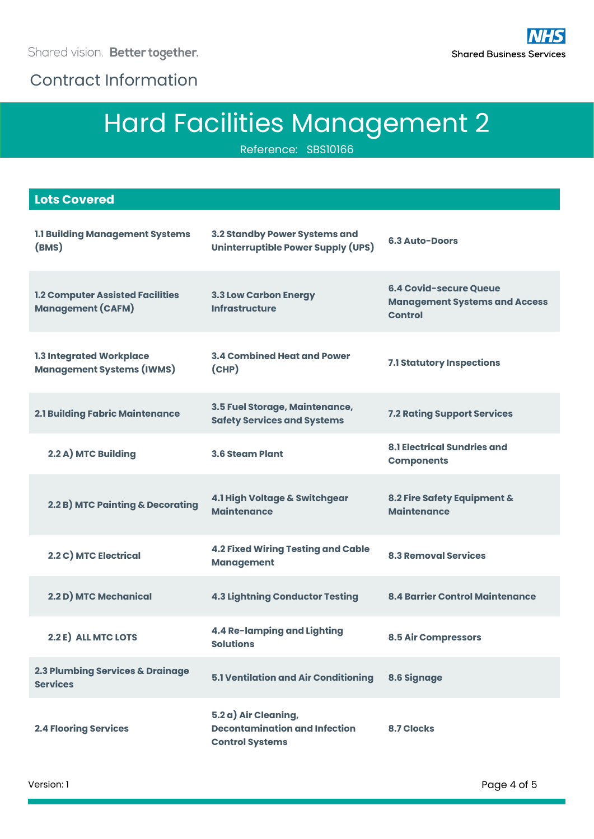Contract Information

# Hard Facilities Management 2

Reference: SBS10166

| <b>Lots Covered</b>                                                 |                                                                                        |                                                                                         |
|---------------------------------------------------------------------|----------------------------------------------------------------------------------------|-----------------------------------------------------------------------------------------|
| <b>1.1 Building Management Systems</b><br>(BMS)                     | 3.2 Standby Power Systems and<br>Uninterruptible Power Supply (UPS)                    | <b>6.3 Auto-Doors</b>                                                                   |
| <b>1.2 Computer Assisted Facilities</b><br><b>Management (CAFM)</b> | <b>3.3 Low Carbon Energy</b><br><b>Infrastructure</b>                                  | <b>6.4 Covid-secure Queue</b><br><b>Management Systems and Access</b><br><b>Control</b> |
| 1.3 Integrated Workplace<br><b>Management Systems (IWMS)</b>        | <b>3.4 Combined Heat and Power</b><br>(CHP)                                            | 7.1 Statutory Inspections                                                               |
| <b>2.1 Building Fabric Maintenance</b>                              | 3.5 Fuel Storage, Maintenance,<br><b>Safety Services and Systems</b>                   | <b>7.2 Rating Support Services</b>                                                      |
| 2.2 A) MTC Building                                                 | <b>3.6 Steam Plant</b>                                                                 | <b>8.1 Electrical Sundries and</b><br><b>Components</b>                                 |
| 2.2 B) MTC Painting & Decorating                                    | 4.1 High Voltage & Switchgear<br><b>Maintenance</b>                                    | 8.2 Fire Safety Equipment &<br><b>Maintenance</b>                                       |
| 2.2 C) MTC Electrical                                               | <b>4.2 Fixed Wiring Testing and Cable</b><br><b>Management</b>                         | <b>8.3 Removal Services</b>                                                             |
| 2.2 D) MTC Mechanical                                               | <b>4.3 Lightning Conductor Testing</b>                                                 | <b>8.4 Barrier Control Maintenance</b>                                                  |
| 2.2 E) ALL MTC LOTS                                                 | 4.4 Re-lamping and Lighting<br><b>Solutions</b>                                        | <b>8.5 Air Compressors</b>                                                              |
| 2.3 Plumbing Services & Drainage<br><b>Services</b>                 | 5.1 Ventilation and Air Conditioning                                                   | 8.6 Signage                                                                             |
| <b>2.4 Flooring Services</b>                                        | 5.2 a) Air Cleaning,<br><b>Decontamination and Infection</b><br><b>Control Systems</b> | <b>8.7 Clocks</b>                                                                       |